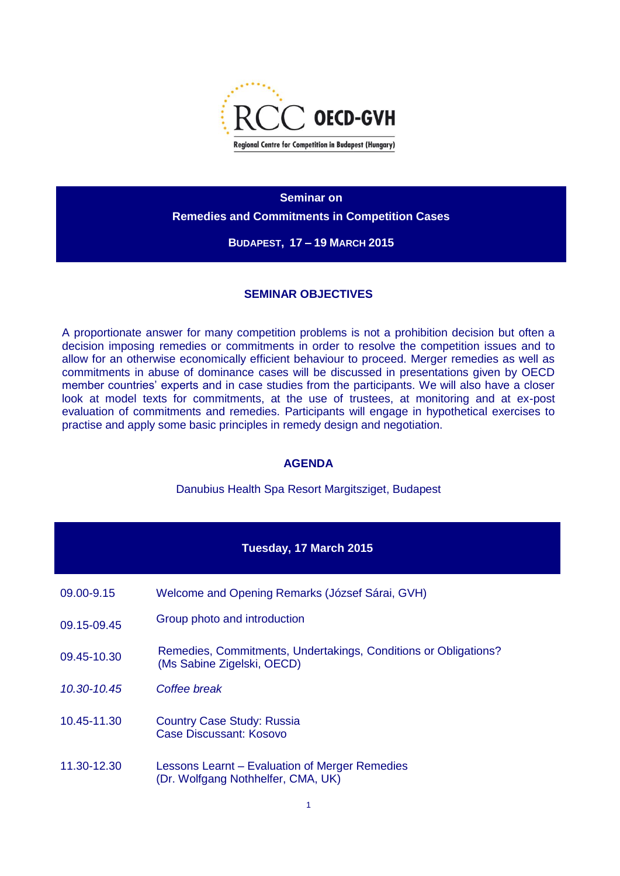

**Seminar on Remedies and Commitments in Competition Cases**

### **BUDAPEST, 17 – 19 MARCH 2015**

## **SEMINAR OBJECTIVES**

A proportionate answer for many competition problems is not a prohibition decision but often a decision imposing remedies or commitments in order to resolve the competition issues and to allow for an otherwise economically efficient behaviour to proceed. Merger remedies as well as commitments in abuse of dominance cases will be discussed in presentations given by OECD member countries' experts and in case studies from the participants. We will also have a closer look at model texts for commitments, at the use of trustees, at monitoring and at ex-post evaluation of commitments and remedies. Participants will engage in hypothetical exercises to practise and apply some basic principles in remedy design and negotiation.

## **AGENDA**

Danubius Health Spa Resort Margitsziget, Budapest

| Tuesday, 17 March 2015 |                                                                                               |  |
|------------------------|-----------------------------------------------------------------------------------------------|--|
| 09.00-9.15             | Welcome and Opening Remarks (József Sárai, GVH)                                               |  |
| 09.15-09.45            | Group photo and introduction                                                                  |  |
| 09.45-10.30            | Remedies, Commitments, Undertakings, Conditions or Obligations?<br>(Ms Sabine Zigelski, OECD) |  |
| 10.30-10.45            | Coffee break                                                                                  |  |
| 10.45-11.30            | <b>Country Case Study: Russia</b><br>Case Discussant: Kosovo                                  |  |
| 11.30-12.30            | Lessons Learnt – Evaluation of Merger Remedies<br>(Dr. Wolfgang Nothhelfer, CMA, UK)          |  |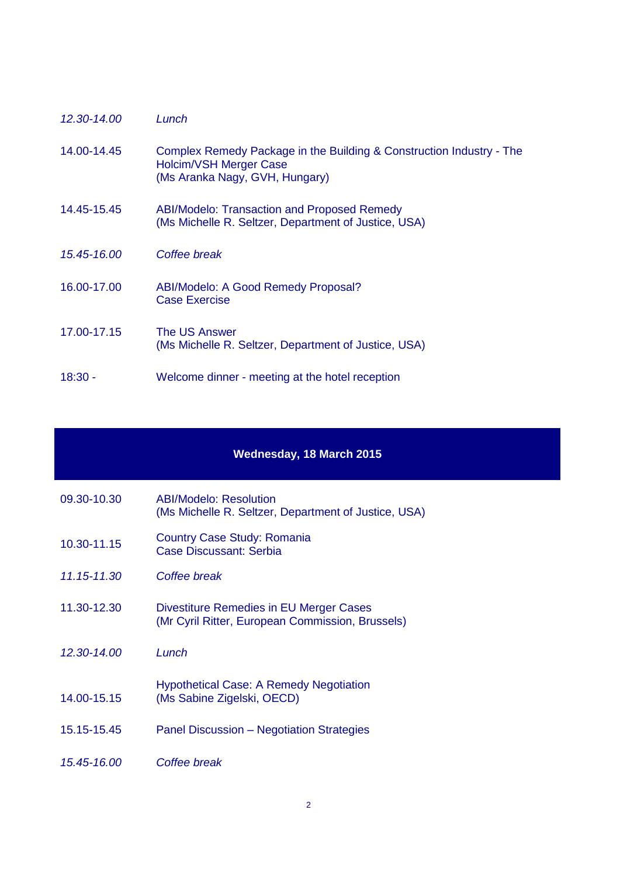| 12.30-14.00 | Lunch                                                                                                                            |
|-------------|----------------------------------------------------------------------------------------------------------------------------------|
| 14.00-14.45 | Complex Remedy Package in the Building & Construction Industry - The<br>Holcim/VSH Merger Case<br>(Ms Aranka Nagy, GVH, Hungary) |
| 14.45-15.45 | ABI/Modelo: Transaction and Proposed Remedy<br>(Ms Michelle R. Seltzer, Department of Justice, USA)                              |
| 15.45-16.00 | Coffee break                                                                                                                     |
| 16.00-17.00 | ABI/Modelo: A Good Remedy Proposal?<br><b>Case Exercise</b>                                                                      |
| 17.00-17.15 | The US Answer<br>(Ms Michelle R. Seltzer, Department of Justice, USA)                                                            |
| 18:30 -     | Welcome dinner - meeting at the hotel reception                                                                                  |

### **Wednesday, 18 March 2015**

| 09.30-10.30 | <b>ABI/Modelo: Resolution</b>                        |
|-------------|------------------------------------------------------|
|             | (Ms Michelle R. Seltzer, Department of Justice, USA) |

- 10.30-11.15 Country Case Study: Romania Case Discussant: Serbia
- *11.15-11.30 Coffee break*
- 11.30-12.30 Divestiture Remedies in EU Merger Cases (Mr Cyril Ritter, European Commission, Brussels)
- *12.30-14.00 Lunch*
- 14.00-15.15 Hypothetical Case: A Remedy Negotiation (Ms Sabine Zigelski, OECD)
- 15.15-15.45 Panel Discussion Negotiation Strategies
- *15.45-16.00 Coffee break*